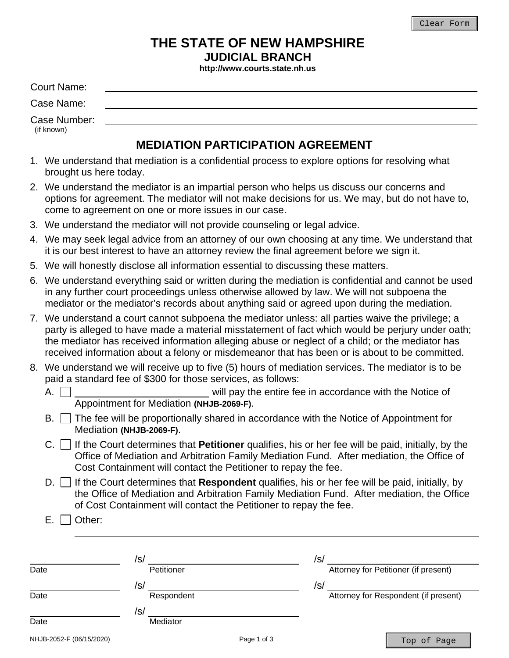# **THE STATE OF NEW HAMPSHIRE**

**JUDICIAL BRANCH** 

**http://www.courts.state.nh.us**

Court Name:

Case Name:

Case Number: (if known)

# **MEDIATION PARTICIPATION AGREEMENT**

- 1. We understand that mediation is a confidential process to explore options for resolving what brought us here today.
- 2. We understand the mediator is an impartial person who helps us discuss our concerns and options for agreement. The mediator will not make decisions for us. We may, but do not have to, come to agreement on one or more issues in our case.
- 3. We understand the mediator will not provide counseling or legal advice.
- 4. We may seek legal advice from an attorney of our own choosing at any time. We understand that it is our best interest to have an attorney review the final agreement before we sign it.
- 5. We will honestly disclose all information essential to discussing these matters.
- 6. We understand everything said or written during the mediation is confidential and cannot be used in any further court proceedings unless otherwise allowed by law. We will not subpoena the mediator or the mediator's records about anything said or agreed upon during the mediation.
- 7. We understand a court cannot subpoena the mediator unless: all parties waive the privilege; a party is alleged to have made a material misstatement of fact which would be perjury under oath; the mediator has received information alleging abuse or neglect of a child; or the mediator has received information about a felony or misdemeanor that has been or is about to be committed.
- 8. We understand we will receive up to five (5) hours of mediation services. The mediator is to be paid a standard fee of \$300 for those services, as follows:
	- A.  $\Box$ Appointment for Mediation **(NHJB-2069-F)**.
	- B.  $\Box$  The fee will be proportionally shared in accordance with the Notice of Appointment for Mediation **(NHJB-2069-F)**.
	- $C.$  If the Court determines that **Petitioner** qualifies, his or her fee will be paid, initially, by the Office of Mediation and Arbitration Family Mediation Fund. After mediation, the Office of Cost Containment will contact the Petitioner to repay the fee.
	- D. □ If the Court determines that **Respondent** qualifies, his or her fee will be paid, initially, by the Office of Mediation and Arbitration Family Mediation Fund. After mediation, the Office of Cost Containment will contact the Petitioner to repay the fee.

E. **Other:** 

|                          | /s/        |             | /s/ |                                      |
|--------------------------|------------|-------------|-----|--------------------------------------|
| Date                     | Petitioner |             |     | Attorney for Petitioner (if present) |
|                          | /s/        |             | /s/ |                                      |
| Date                     | Respondent |             |     | Attorney for Respondent (if present) |
|                          | /s/        |             |     |                                      |
| Date                     | Mediator   |             |     |                                      |
| NHJB-2052-F (06/15/2020) |            | Page 1 of 3 |     | Top of Page                          |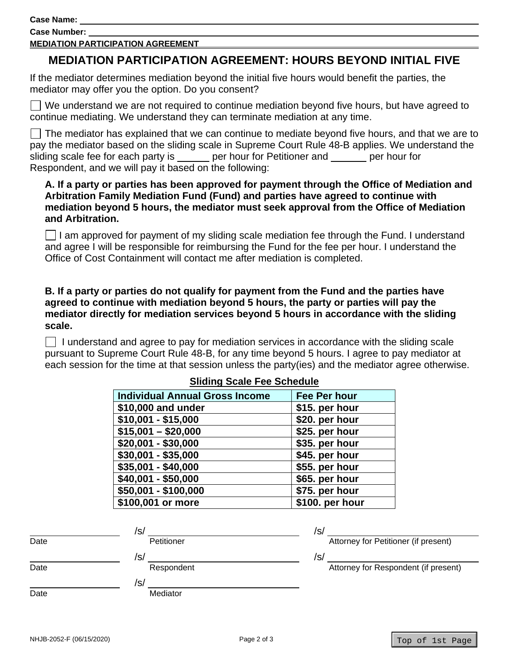**Case Name:** 

**Case Number:** 

#### **MEDIATION PARTICIPATION AGREEMENT**

# **MEDIATION PARTICIPATION AGREEMENT: HOURS BEYOND INITIAL FIVE**

If the mediator determines mediation beyond the initial five hours would benefit the parties, the mediator may offer you the option. Do you consent?

 $\Box$  We understand we are not required to continue mediation beyond five hours, but have agreed to continue mediating. We understand they can terminate mediation at any time.

 The mediator has explained that we can continue to mediate beyond five hours, and that we are to pay the mediator based on the sliding scale in Supreme Court Rule 48-B applies. We understand the sliding scale fee for each party is per hour for Petitioner and per hour for Respondent, and we will pay it based on the following:

### **A. If a party or parties has been approved for payment through the Office of Mediation and Arbitration Family Mediation Fund (Fund) and parties have agreed to continue with mediation beyond 5 hours, the mediator must seek approval from the Office of Mediation and Arbitration.**

I am approved for payment of my sliding scale mediation fee through the Fund. I understand and agree I will be responsible for reimbursing the Fund for the fee per hour. I understand the Office of Cost Containment will contact me after mediation is completed.

### **B. If a party or parties do not qualify for payment from the Fund and the parties have agreed to continue with mediation beyond 5 hours, the party or parties will pay the mediator directly for mediation services beyond 5 hours in accordance with the sliding scale.**

 $\Box$  I understand and agree to pay for mediation services in accordance with the sliding scale pursuant to Supreme Court Rule 48-B, for any time beyond 5 hours. I agree to pay mediator at each session for the time at that session unless the party(ies) and the mediator agree otherwise.

| <b>Individual Annual Gross Income</b> | Fee Per hour    |  |  |  |
|---------------------------------------|-----------------|--|--|--|
| \$10,000 and under                    | \$15. per hour  |  |  |  |
| $$10,001 - $15,000$                   | \$20. per hour  |  |  |  |
| $$15,001 - $20,000$                   | \$25. per hour  |  |  |  |
| $$20,001 - $30,000$                   | \$35. per hour  |  |  |  |
| \$30,001 - \$35,000                   | \$45. per hour  |  |  |  |
| \$35,001 - \$40,000                   | \$55. per hour  |  |  |  |
| \$40,001 - \$50,000                   | \$65. per hour  |  |  |  |
| \$50,001 - \$100,000                  | \$75. per hour  |  |  |  |
| \$100,001 or more                     | \$100. per hour |  |  |  |

### **Sliding Scale Fee Schedule**

|      | /s/        | /s/                                  |
|------|------------|--------------------------------------|
| Date | Petitioner | Attorney for Petitioner (if present) |
|      | /s/        | /s/                                  |
| Date | Respondent | Attorney for Respondent (if present) |
|      | /s/        |                                      |
| Date | Mediator   |                                      |